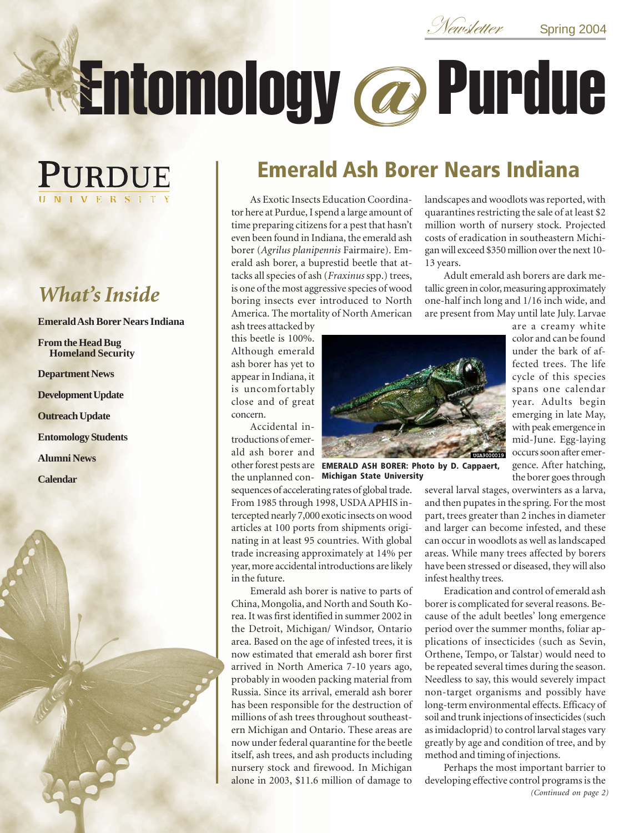Newsletter Spring 2004

# Entomology@ Purdue

# PURDUE IVERSIT

# *What's Inside*

**Emerald Ash Borer Nears Indiana**

**From the Head Bug Homeland Security**

**Department News**

**Development Update**

**Outreach Update**

**Entomology Students**

**Alumni News**

**Calendar**



13 years.

As Exotic Insects Education Coordinator here at Purdue, I spend a large amount of time preparing citizens for a pest that hasn't even been found in Indiana, the emerald ash borer (*Agrilus planipennis* Fairmaire). Emerald ash borer, a buprestid beetle that attacks all species of ash (*Fraxinus* spp.) trees, is one of the most aggressive species of wood boring insects ever introduced to North America. The mortality of North American

ash trees attacked by this beetle is 100%. Although emerald ash borer has yet to appear in Indiana, it is uncomfortably close and of great concern.

Accidental introductions of emerald ash borer and

other forest pests are **EMERALD ASH BORER: Photo by D. Cappaert,** the unplanned con-**Michigan State University**

sequences of accelerating rates of global trade. From 1985 through 1998, USDA APHIS intercepted nearly 7,000 exotic insects on wood articles at 100 ports from shipments originating in at least 95 countries. With global trade increasing approximately at 14% per year, more accidental introductions are likely in the future.

Emerald ash borer is native to parts of China, Mongolia, and North and South Korea. It was first identified in summer 2002 in the Detroit, Michigan/ Windsor, Ontario area. Based on the age of infested trees, it is now estimated that emerald ash borer first arrived in North America 7-10 years ago, probably in wooden packing material from Russia. Since its arrival, emerald ash borer has been responsible for the destruction of millions of ash trees throughout southeastern Michigan and Ontario. These areas are now under federal quarantine for the beetle itself, ash trees, and ash products including nursery stock and firewood. In Michigan alone in 2003, \$11.6 million of damage to

the borer goes through several larval stages, overwinters as a larva, and then pupates in the spring. For the most part, trees greater than 2 inches in diameter and larger can become infested, and these can occur in woodlots as well as landscaped areas. While many trees affected by borers have been stressed or diseased, they will also infest healthy trees.

landscapes and woodlots was reported, with quarantines restricting the sale of at least \$2 million worth of nursery stock. Projected costs of eradication in southeastern Michigan will exceed \$350 million over the next 10-

Adult emerald ash borers are dark metallic green in color, measuring approximately one-half inch long and 1/16 inch wide, and are present from May until late July. Larvae

> are a creamy white color and can be found under the bark of affected trees. The life cycle of this species spans one calendar year. Adults begin emerging in late May, with peak emergence in mid-June. Egg-laying occurs soon after emergence. After hatching,

Eradication and control of emerald ash borer is complicated for several reasons. Because of the adult beetles' long emergence period over the summer months, foliar applications of insecticides (such as Sevin, Orthene, Tempo, or Talstar) would need to be repeated several times during the season. Needless to say, this would severely impact non-target organisms and possibly have long-term environmental effects. Efficacy of soil and trunk injections of insecticides (such as imidacloprid) to control larval stages vary greatly by age and condition of tree, and by method and timing of injections.

Perhaps the most important barrier to developing effective control programs is the *(Continued on page 2)*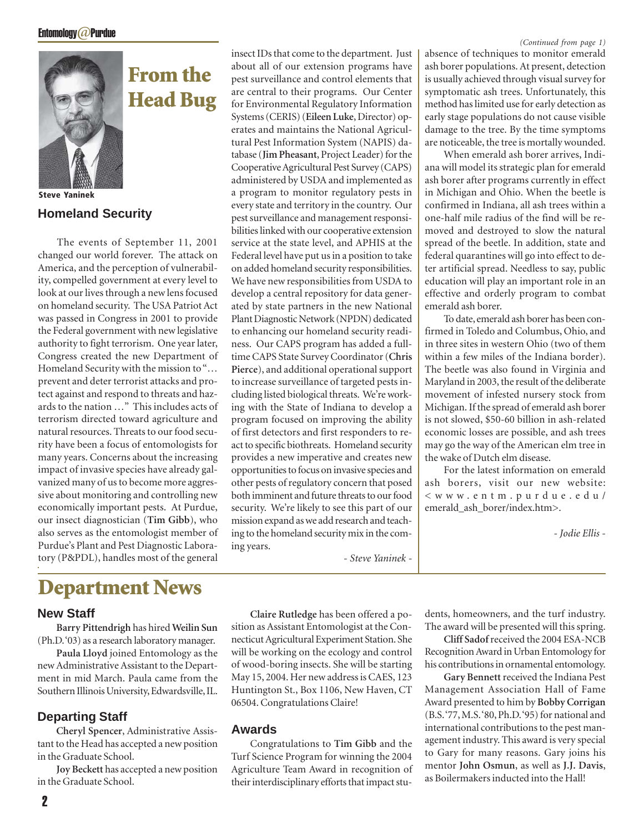**From the**

**Head Bug**



**Steve Yaninek**

### **Homeland Security**

The events of September 11, 2001 changed our world forever. The attack on America, and the perception of vulnerability, compelled government at every level to look at our lives through a new lens focused on homeland security. The USA Patriot Act was passed in Congress in 2001 to provide the Federal government with new legislative authority to fight terrorism. One year later, Congress created the new Department of Homeland Security with the mission to "… prevent and deter terrorist attacks and protect against and respond to threats and hazards to the nation …" This includes acts of terrorism directed toward agriculture and natural resources. Threats to our food security have been a focus of entomologists for many years. Concerns about the increasing impact of invasive species have already galvanized many of us to become more aggressive about monitoring and controlling new economically important pests. At Purdue, our insect diagnostician (**Tim Gibb**), who also serves as the entomologist member of Purdue's Plant and Pest Diagnostic Laboratory (P&PDL), handles most of the general

# **Department News**

### **New Staff**

**Barry Pittendrigh** has hired **Weilin Sun** (Ph.D. '03) as a research laboratory manager.

**Paula Lloyd** joined Entomology as the new Administrative Assistant to the Department in mid March. Paula came from the Southern Illinois University, Edwardsville, IL.

### **Departing Staff**

**Cheryl Spencer**, Administrative Assistant to the Head has accepted a new position in the Graduate School.

**Joy Beckett** has accepted a new position in the Graduate School.

insect IDs that come to the department. Just about all of our extension programs have pest surveillance and control elements that are central to their programs. Our Center for Environmental Regulatory Information Systems (CERIS) (**Eileen Luke**, Director) operates and maintains the National Agricultural Pest Information System (NAPIS) database (**Jim Pheasant**, Project Leader) for the Cooperative Agricultural Pest Survey (CAPS) administered by USDA and implemented as a program to monitor regulatory pests in every state and territory in the country. Our pest surveillance and management responsibilities linked with our cooperative extension service at the state level, and APHIS at the Federal level have put us in a position to take on added homeland security responsibilities. We have new responsibilities from USDA to develop a central repository for data generated by state partners in the new National Plant Diagnostic Network (NPDN) dedicated to enhancing our homeland security readiness. Our CAPS program has added a fulltime CAPS State Survey Coordinator (**Chris Pierce**), and additional operational support to increase surveillance of targeted pests including listed biological threats. We're working with the State of Indiana to develop a program focused on improving the ability of first detectors and first responders to react to specific biothreats. Homeland security provides a new imperative and creates new opportunities to focus on invasive species and other pests of regulatory concern that posed both imminent and future threats to our food security. We're likely to see this part of our mission expand as we add research and teaching to the homeland security mix in the coming years.

*- Steve Yaninek -*

**Claire Rutledge** has been offered a position as Assistant Entomologist at the Con-

Congratulations to **Tim Gibb** and the Turf Science Program for winning the 2004 Agriculture Team Award in recognition of their interdisciplinary efforts that impact stu-

will be working on the ecology and control of wood-boring insects. She will be starting May 15, 2004. Her new address is CAES, 123 Huntington St., Box 1106, New Haven, CT

06504. Congratulations Claire!

**Awards**

### *(Continued from page 1)*

absence of techniques to monitor emerald ash borer populations. At present, detection is usually achieved through visual survey for symptomatic ash trees. Unfortunately, this method has limited use for early detection as early stage populations do not cause visible damage to the tree. By the time symptoms are noticeable, the tree is mortally wounded.

When emerald ash borer arrives, Indiana will model its strategic plan for emerald ash borer after programs currently in effect in Michigan and Ohio. When the beetle is confirmed in Indiana, all ash trees within a one-half mile radius of the find will be removed and destroyed to slow the natural spread of the beetle. In addition, state and federal quarantines will go into effect to deter artificial spread. Needless to say, public education will play an important role in an effective and orderly program to combat emerald ash borer.

To date, emerald ash borer has been confirmed in Toledo and Columbus, Ohio, and in three sites in western Ohio (two of them within a few miles of the Indiana border). The beetle was also found in Virginia and Maryland in 2003, the result of the deliberate movement of infested nursery stock from Michigan. If the spread of emerald ash borer is not slowed, \$50-60 billion in ash-related economic losses are possible, and ash trees may go the way of the American elm tree in the wake of Dutch elm disease.

For the latest information on emerald ash borers, visit our new website: <www.entm.purdue.edu/ emerald ash borer/index.htm>.

*- Jodie Ellis -*

necticut Agricultural Experiment Station. She dents, homeowners, and the turf industry. The award will be presented will this spring.

**Cliff Sadof** received the 2004 ESA-NCB Recognition Award in Urban Entomology for his contributions in ornamental entomology.

**Gary Bennett** received the Indiana Pest Management Association Hall of Fame Award presented to him by **Bobby Corrigan** (B.S. '77, M.S. '80, Ph.D. '95) for national and international contributions to the pest management industry. This award is very special to Gary for many reasons. Gary joins his mentor **John Osmun**, as well as **J.J. Davis**, as Boilermakers inducted into the Hall!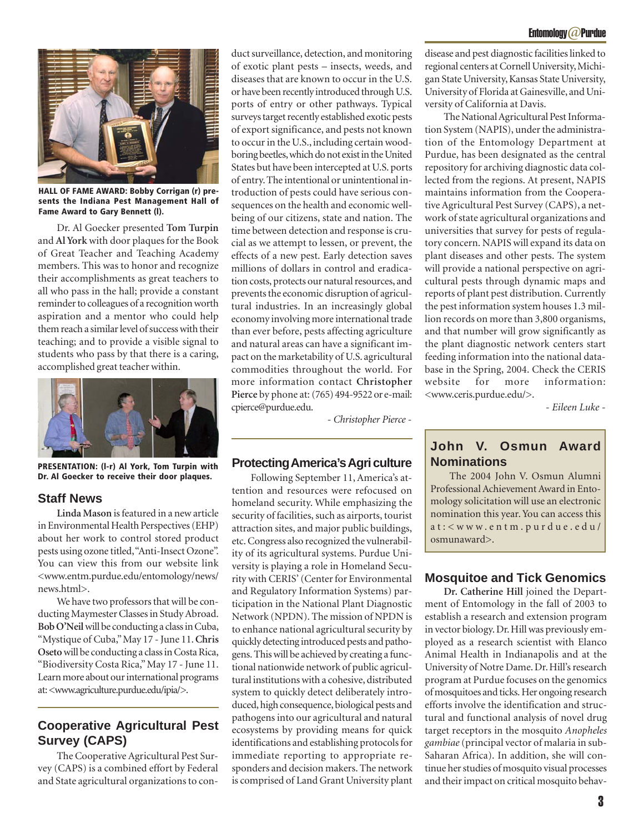

**HALL OF FAME AWARD: Bobby Corrigan (r) presents the Indiana Pest Management Hall of Fame Award to Gary Bennett (l).**

Dr. Al Goecker presented **Tom Turpin** and **Al York** with door plaques for the Book of Great Teacher and Teaching Academy members. This was to honor and recognize their accomplishments as great teachers to all who pass in the hall; provide a constant reminder to colleagues of a recognition worth aspiration and a mentor who could help them reach a similar level of success with their teaching; and to provide a visible signal to students who pass by that there is a caring, accomplished great teacher within.



**PRESENTATION: (l-r) Al York, Tom Turpin with Dr. Al Goecker to receive their door plaques.**

### **Staff News**

**Linda Mason** is featured in a new article in Environmental Health Perspectives (EHP) about her work to control stored product pests using ozone titled, "Anti-Insect Ozone". You can view this from our website link <www.entm.purdue.edu/entomology/news/ news.html>.

We have two professors that will be conducting Maymester Classes in Study Abroad. **Bob O'Neil** will be conducting a class in Cuba, "Mystique of Cuba," May 17 - June 11. **Chris Oseto** will be conducting a class in Costa Rica, "Biodiversity Costa Rica," May 17 - June 11. Learn more about our international programs at: <www.agriculture.purdue.edu/ipia/>.

### **Cooperative Agricultural Pest Survey (CAPS)**

The Cooperative Agricultural Pest Survey (CAPS) is a combined effort by Federal and State agricultural organizations to con-

duct surveillance, detection, and monitoring of exotic plant pests – insects, weeds, and diseases that are known to occur in the U.S. or have been recently introduced through U.S. ports of entry or other pathways. Typical surveys target recently established exotic pests of export significance, and pests not known to occur in the U.S., including certain woodboring beetles, which do not exist in the United States but have been intercepted at U.S. ports of entry. The intentional or unintentional introduction of pests could have serious consequences on the health and economic wellbeing of our citizens, state and nation. The time between detection and response is crucial as we attempt to lessen, or prevent, the effects of a new pest. Early detection saves millions of dollars in control and eradication costs, protects our natural resources, and prevents the economic disruption of agricultural industries. In an increasingly global economy involving more international trade than ever before, pests affecting agriculture and natural areas can have a significant impact on the marketability of U.S. agricultural commodities throughout the world. For more information contact **Christopher Pierce** by phone at: (765) 494-9522 or e-mail: cpierce@purdue.edu.

*- Christopher Pierce -*

### **Protecting America's Agri culture**

Following September 11, America's attention and resources were refocused on homeland security. While emphasizing the security of facilities, such as airports, tourist attraction sites, and major public buildings, etc. Congress also recognized the vulnerability of its agricultural systems. Purdue University is playing a role in Homeland Security with CERIS' (Center for Environmental and Regulatory Information Systems) participation in the National Plant Diagnostic Network (NPDN). The mission of NPDN is to enhance national agricultural security by quickly detecting introduced pests and pathogens. This will be achieved by creating a functional nationwide network of public agricultural institutions with a cohesive, distributed system to quickly detect deliberately introduced, high consequence, biological pests and pathogens into our agricultural and natural ecosystems by providing means for quick identifications and establishing protocols for immediate reporting to appropriate responders and decision makers. The network is comprised of Land Grant University plant

disease and pest diagnostic facilities linked to regional centers at Cornell University, Michigan State University, Kansas State University, University of Florida at Gainesville, and University of California at Davis.

The National Agricultural Pest Information System (NAPIS), under the administration of the Entomology Department at Purdue, has been designated as the central repository for archiving diagnostic data collected from the regions. At present, NAPIS maintains information from the Cooperative Agricultural Pest Survey (CAPS), a network of state agricultural organizations and universities that survey for pests of regulatory concern. NAPIS will expand its data on plant diseases and other pests. The system will provide a national perspective on agricultural pests through dynamic maps and reports of plant pest distribution. Currently the pest information system houses 1.3 million records on more than 3,800 organisms, and that number will grow significantly as the plant diagnostic network centers start feeding information into the national database in the Spring, 2004. Check the CERIS website for more information: <www.ceris.purdue.edu/>.

*- Eileen Luke -*

### **John V. Osmun Award Nominations**

The 2004 John V. Osmun Alumni Professional Achievement Award in Entomology solicitation will use an electronic nomination this year. You can access this at:<www.entm.purdue.edu/ osmunaward>.

### **Mosquitoe and Tick Genomics**

**Dr. Catherine Hill** joined the Department of Entomology in the fall of 2003 to establish a research and extension program in vector biology. Dr. Hill was previously employed as a research scientist with Elanco Animal Health in Indianapolis and at the University of Notre Dame. Dr. Hill's research program at Purdue focuses on the genomics of mosquitoes and ticks. Her ongoing research efforts involve the identification and structural and functional analysis of novel drug target receptors in the mosquito *Anopheles gambiae* (principal vector of malaria in sub-Saharan Africa). In addition, she will continue her studies of mosquito visual processes and their impact on critical mosquito behav-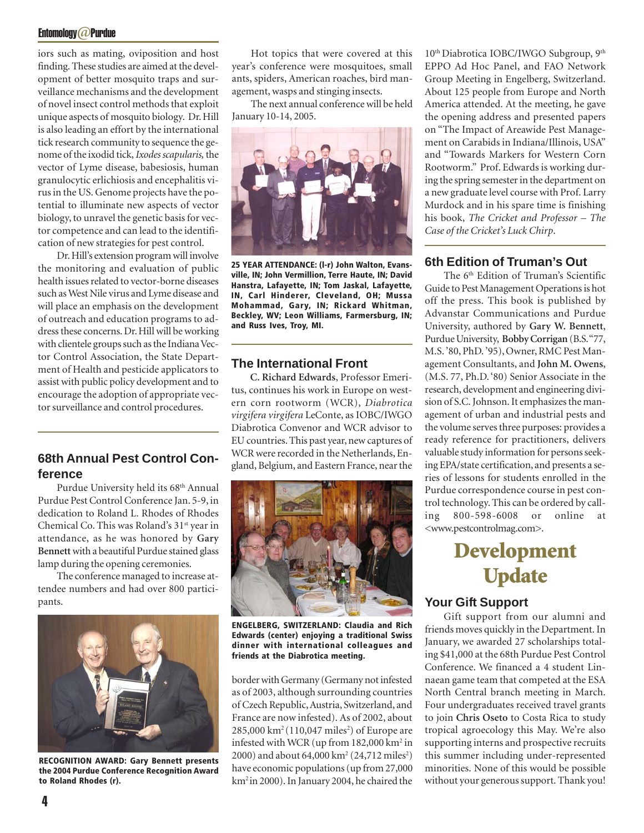### Entomology@Purdue

iors such as mating, oviposition and host finding. These studies are aimed at the development of better mosquito traps and surveillance mechanisms and the development of novel insect control methods that exploit unique aspects of mosquito biology. Dr. Hill is also leading an effort by the international tick research community to sequence the genome of the ixodid tick, *Ixodes scapularis,* the vector of Lyme disease, babesiosis, human granulocytic erlichiosis and encephalitis virus in the US. Genome projects have the potential to illuminate new aspects of vector biology, to unravel the genetic basis for vector competence and can lead to the identification of new strategies for pest control.

Dr. Hill's extension program will involve the monitoring and evaluation of public health issues related to vector-borne diseases such as West Nile virus and Lyme disease and will place an emphasis on the development of outreach and education programs to address these concerns. Dr. Hill will be working with clientele groups such as the Indiana Vector Control Association, the State Department of Health and pesticide applicators to assist with public policy development and to encourage the adoption of appropriate vector surveillance and control procedures.

# **ference**

Purdue University held its 68<sup>th</sup> Annual Purdue Pest Control Conference Jan. 5-9, in dedication to Roland L. Rhodes of Rhodes Chemical Co. This was Roland's 31<sup>st</sup> year in attendance, as he was honored by **Gary Bennett** with a beautiful Purdue stained glass lamp during the opening ceremonies.

The conference managed to increase attendee numbers and had over 800 participants.



**RECOGNITION AWARD: Gary Bennett presents the 2004 Purdue Conference Recognition Award to Roland Rhodes (r).**

Hot topics that were covered at this year's conference were mosquitoes, small ants, spiders, American roaches, bird management, wasps and stinging insects.

The next annual conference will be held January 10-14, 2005.



**25 YEAR ATTENDANCE: (l-r) John Walton, Evansville, IN; John Vermillion, Terre Haute, IN; David Hanstra, Lafayette, IN; Tom Jaskal, Lafayette, IN, Carl Hinderer, Cleveland, OH; Mussa Mohammad, Gary, IN; Rickard Whitman, Beckley, WV; Leon Williams, Farmersburg, IN; and Russ Ives, Troy, MI.**

### **The International Front**

**C. Richard Edwards**, Professor Emeritus, continues his work in Europe on western corn rootworm (WCR), *Diabrotica virgifera virgifera* LeConte, as IOBC/IWGO Diabrotica Convenor and WCR advisor to EU countries. This past year, new captures of WCR were recorded in the Netherlands, En-**68th Annual Pest Control Con-**<br>gland, Belgium, and Eastern France, near the



**ENGELBERG, SWITZERLAND: Claudia and Rich Edwards (center) enjoying a traditional Swiss dinner with international colleagues and friends at the Diabrotica meeting.**

border with Germany (Germany not infested as of 2003, although surrounding countries of Czech Republic, Austria, Switzerland, and France are now infested). As of 2002, about  $285,\!000\,\mathrm{km^2}$  (110,047 miles $^2$ ) of Europe are infested with WCR (up from  $182,000$  km<sup>2</sup> in 2000) and about 64,000 km<sup>2</sup> (24,712 miles<sup>2</sup>) have economic populations (up from 27,000 km2 in 2000). In January 2004, he chaired the

10<sup>th</sup> Diabrotica IOBC/IWGO Subgroup, 9<sup>th</sup> EPPO Ad Hoc Panel, and FAO Network Group Meeting in Engelberg, Switzerland. About 125 people from Europe and North America attended. At the meeting, he gave the opening address and presented papers on "The Impact of Areawide Pest Management on Carabids in Indiana/Illinois, USA" and "Towards Markers for Western Corn Rootworm." Prof. Edwards is working during the spring semester in the department on a new graduate level course with Prof. Larry Murdock and in his spare time is finishing his book, *The Cricket and Professor – The Case of the Cricket's Luck Chirp*.

### **6th Edition of Truman's Out**

The 6<sup>th</sup> Edition of Truman's Scientific Guide to Pest Management Operations is hot off the press. This book is published by Advanstar Communications and Purdue University, authored by **Gary W. Bennett**, Purdue University, **Bobby Corrigan** (B.S. "77, M.S. '80, PhD. '95), Owner, RMC Pest Management Consultants, and **John M. Owens**, (M.S. 77, Ph.D. '80) Senior Associate in the research, development and engineering division of S.C. Johnson. It emphasizes the management of urban and industrial pests and the volume serves three purposes: provides a ready reference for practitioners, delivers valuable study information for persons seeking EPA/state certification, and presents a series of lessons for students enrolled in the Purdue correspondence course in pest control technology. This can be ordered by calling 800-598-6008 or online at <www.pestcontrolmag.com>.

# **Development Update**

### **Your Gift Support**

Gift support from our alumni and friends moves quickly in the Department. In January, we awarded 27 scholarships totaling \$41,000 at the 68th Purdue Pest Control Conference. We financed a 4 student Linnaean game team that competed at the ESA North Central branch meeting in March. Four undergraduates received travel grants to join **Chris Oseto** to Costa Rica to study tropical agroecology this May. We're also supporting interns and prospective recruits this summer including under-represented minorities. None of this would be possible without your generous support. Thank you!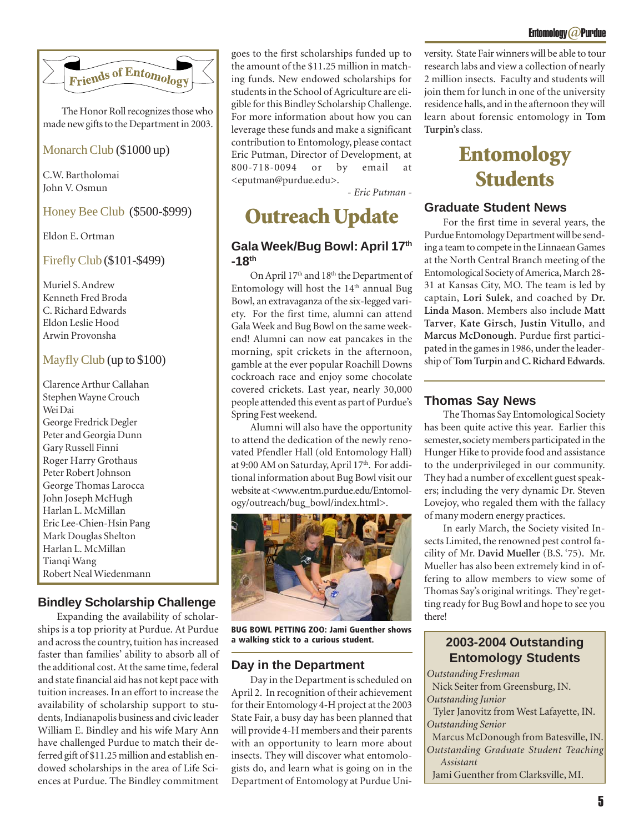

The Honor Roll recognizes those who made new gifts to the Department in 2003.

### Monarch Club (\$1000 up)

C.W. Bartholomai John V. Osmun

### Honey Bee Club (\$500-\$999)

Eldon E. Ortman

### Firefly Club (\$101-\$499)

Muriel S. Andrew Kenneth Fred Broda C. Richard Edwards Eldon Leslie Hood Arwin Provonsha

### Mayfly Club (up to \$100)

Clarence Arthur Callahan Stephen Wayne Crouch Wei Dai George Fredrick Degler Peter and Georgia Dunn Gary Russell Finni Roger Harry Grothaus Peter Robert Johnson George Thomas Larocca John Joseph McHugh Harlan L. McMillan Eric Lee-Chien-Hsin Pang Mark Douglas Shelton Harlan L. McMillan Tianqi Wang Robert Neal Wiedenmann

### **Bindley Scholarship Challenge**

Expanding the availability of scholarships is a top priority at Purdue. At Purdue and across the country, tuition has increased faster than families' ability to absorb all of the additional cost. At the same time, federal and state financial aid has not kept pace with tuition increases. In an effort to increase the availability of scholarship support to students, Indianapolis business and civic leader William E. Bindley and his wife Mary Ann have challenged Purdue to match their deferred gift of \$11.25 million and establish endowed scholarships in the area of Life Sciences at Purdue. The Bindley commitment

goes to the first scholarships funded up to the amount of the \$11.25 million in matching funds. New endowed scholarships for students in the School of Agriculture are eligible for this Bindley Scholarship Challenge. For more information about how you can leverage these funds and make a significant contribution to Entomology, please contact Eric Putman, Director of Development, at 800-718-0094 or by email <eputman@purdue.edu>.

*- Eric Putman -*

# **Outreach Update**

### **Gala Week/Bug Bowl: April 17th -18th**

On April 17<sup>th</sup> and 18<sup>th</sup> the Department of Entomology will host the 14<sup>th</sup> annual Bug Bowl, an extravaganza of the six-legged variety. For the first time, alumni can attend Gala Week and Bug Bowl on the same weekend! Alumni can now eat pancakes in the morning, spit crickets in the afternoon, gamble at the ever popular Roachill Downs cockroach race and enjoy some chocolate covered crickets. Last year, nearly 30,000 people attended this event as part of Purdue's Spring Fest weekend.

Alumni will also have the opportunity to attend the dedication of the newly renovated Pfendler Hall (old Entomology Hall) at 9:00 AM on Saturday, April 17th. For additional information about Bug Bowl visit our website at <www.entm.purdue.edu/Entomology/outreach/bug\_bowl/index.html>.



**BUG BOWL PETTING ZOO: Jami Guenther shows a walking stick to a curious student.**

### **Day in the Department**

Day in the Department is scheduled on April 2. In recognition of their achievement for their Entomology 4-H project at the 2003 State Fair, a busy day has been planned that will provide 4-H members and their parents with an opportunity to learn more about insects. They will discover what entomologists do, and learn what is going on in the Department of Entomology at Purdue University. State Fair winners will be able to tour research labs and view a collection of nearly 2 million insects. Faculty and students will join them for lunch in one of the university residence halls, and in the afternoon they will learn about forensic entomology in **Tom Turpin's** class.

# **Entomology Students**

### **Graduate Student News**

For the first time in several years, the Purdue Entomology Department will be sending a team to compete in the Linnaean Games at the North Central Branch meeting of the Entomological Society of America, March 28- 31 at Kansas City, MO. The team is led by captain, **Lori Sulek**, and coached by **Dr. Linda Mason**. Members also include **Matt Tarver**, **Kate Girsch**, **Justin Vitullo**, and **Marcus McDonough**. Purdue first participated in the games in 1986, under the leadership of **Tom Turpin** and **C. Richard Edwards**.

### **Thomas Say News**

The Thomas Say Entomological Society has been quite active this year. Earlier this semester, society members participated in the Hunger Hike to provide food and assistance to the underprivileged in our community. They had a number of excellent guest speakers; including the very dynamic Dr. Steven Lovejoy, who regaled them with the fallacy of many modern energy practices.

In early March, the Society visited Insects Limited, the renowned pest control facility of Mr. **David Mueller** (B.S. '75). Mr. Mueller has also been extremely kind in offering to allow members to view some of Thomas Say's original writings. They're getting ready for Bug Bowl and hope to see you there!

### **2003-2004 Outstanding Entomology Students**

*Outstanding Freshman* Nick Seiter from Greensburg, IN. *Outstanding Junior* Tyler Janovitz from West Lafayette, IN. *Outstanding Senior* Marcus McDonough from Batesville, IN. *Outstanding Graduate Student Teaching Assistant* Jami Guenther from Clarksville, MI.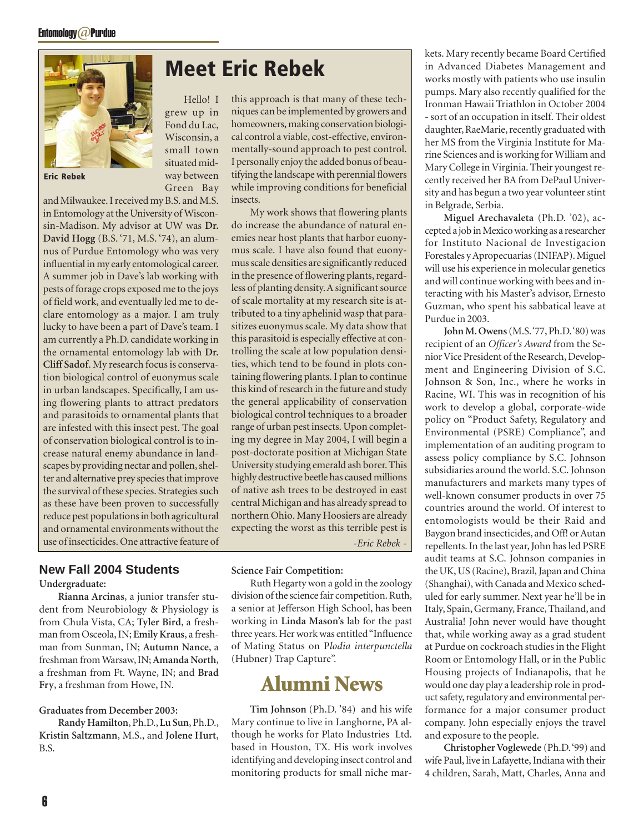

**Eric Rebek**

and Milwaukee. I received my B.S. and M.S. in Entomology at the University of Wisconsin-Madison. My advisor at UW was **Dr. David Hogg** (B.S. '71, M.S. '74), an alumnus of Purdue Entomology who was very influential in my early entomological career. A summer job in Dave's lab working with pests of forage crops exposed me to the joys of field work, and eventually led me to declare entomology as a major. I am truly lucky to have been a part of Dave's team. I am currently a Ph.D. candidate working in the ornamental entomology lab with **Dr. Cliff Sadof**. My research focus is conservation biological control of euonymus scale in urban landscapes. Specifically, I am using flowering plants to attract predators and parasitoids to ornamental plants that are infested with this insect pest. The goal of conservation biological control is to increase natural enemy abundance in landscapes by providing nectar and pollen, shelter and alternative prey species that improve the survival of these species. Strategies such as these have been proven to successfully reduce pest populations in both agricultural and ornamental environments without the use of insecticides. One attractive feature of

# **Meet Eric Rebek**

Hello! I grew up in Fond du Lac, Wisconsin, a small town situated midway between Green Bay

this approach is that many of these techniques can be implemented by growers and homeowners, making conservation biological control a viable, cost-effective, environmentally-sound approach to pest control. I personally enjoy the added bonus of beautifying the landscape with perennial flowers while improving conditions for beneficial insects.

My work shows that flowering plants do increase the abundance of natural enemies near host plants that harbor euonymus scale. I have also found that euonymus scale densities are significantly reduced in the presence of flowering plants, regardless of planting density. A significant source of scale mortality at my research site is attributed to a tiny aphelinid wasp that parasitizes euonymus scale. My data show that this parasitoid is especially effective at controlling the scale at low population densities, which tend to be found in plots containing flowering plants. I plan to continue this kind of research in the future and study the general applicability of conservation biological control techniques to a broader range of urban pest insects. Upon completing my degree in May 2004, I will begin a post-doctorate position at Michigan State University studying emerald ash borer. This highly destructive beetle has caused millions of native ash trees to be destroyed in east central Michigan and has already spread to northern Ohio. Many Hoosiers are already expecting the worst as this terrible pest is *-Eric Rebek -*

### **New Fall 2004 Students**

### **Undergraduate:**

**Rianna Arcinas**, a junior transfer student from Neurobiology & Physiology is from Chula Vista, CA; **Tyler Bird**, a freshman from Osceola, IN; **Emily Kraus**, a freshman from Sunman, IN; **Autumn Nance**, a freshman from Warsaw, IN; **Amanda North**, a freshman from Ft. Wayne, IN; and **Brad Fry**, a freshman from Howe, IN.

### **Graduates from December 2003:**

**Randy Hamilton**, Ph.D., **Lu Sun**, Ph.D., **Kristin Saltzmann**, M.S., and **Jolene Hurt**, B.S.

### **Science Fair Competition:**

Ruth Hegarty won a gold in the zoology division of the science fair competition. Ruth, a senior at Jefferson High School, has been working in **Linda Mason's** lab for the past three years. Her work was entitled "Influence of Mating Status on P*lodia interpunctella* (Hubner) Trap Capture".

# **Alumni News**

**Tim Johnson** (Ph.D. '84) and his wife Mary continue to live in Langhorne, PA although he works for Plato Industries Ltd. based in Houston, TX. His work involves identifying and developing insect control and monitoring products for small niche markets. Mary recently became Board Certified in Advanced Diabetes Management and works mostly with patients who use insulin pumps. Mary also recently qualified for the Ironman Hawaii Triathlon in October 2004 - sort of an occupation in itself. Their oldest daughter, RaeMarie, recently graduated with her MS from the Virginia Institute for Marine Sciences and is working for William and Mary College in Virginia. Their youngest recently received her BA from DePaul University and has begun a two year volunteer stint in Belgrade, Serbia.

**Miguel Arechavaleta** (Ph.D. '02), accepted a job in Mexico working as a researcher for Instituto Nacional de Investigacion Forestales y Apropecuarias (INIFAP). Miguel will use his experience in molecular genetics and will continue working with bees and interacting with his Master's advisor, Ernesto Guzman, who spent his sabbatical leave at Purdue in 2003.

**John M. Owens** (M.S. '77, Ph.D. '80) was recipient of an *Officer's Award* from the Senior Vice President of the Research, Development and Engineering Division of S.C. Johnson & Son, Inc., where he works in Racine, WI. This was in recognition of his work to develop a global, corporate-wide policy on "Product Safety, Regulatory and Environmental (PSRE) Compliance", and implementation of an auditing program to assess policy compliance by S.C. Johnson subsidiaries around the world. S.C. Johnson manufacturers and markets many types of well-known consumer products in over 75 countries around the world. Of interest to entomologists would be their Raid and Baygon brand insecticides, and Off! or Autan repellents. In the last year, John has led PSRE audit teams at S.C. Johnson companies in the UK, US (Racine), Brazil, Japan and China (Shanghai), with Canada and Mexico scheduled for early summer. Next year he'll be in Italy, Spain, Germany, France, Thailand, and Australia! John never would have thought that, while working away as a grad student at Purdue on cockroach studies in the Flight Room or Entomology Hall, or in the Public Housing projects of Indianapolis, that he would one day play a leadership role in product safety, regulatory and environmental performance for a major consumer product company. John especially enjoys the travel and exposure to the people.

**Christopher Voglewede** (Ph.D. '99) and wife Paul, live in Lafayette, Indiana with their 4 children, Sarah, Matt, Charles, Anna and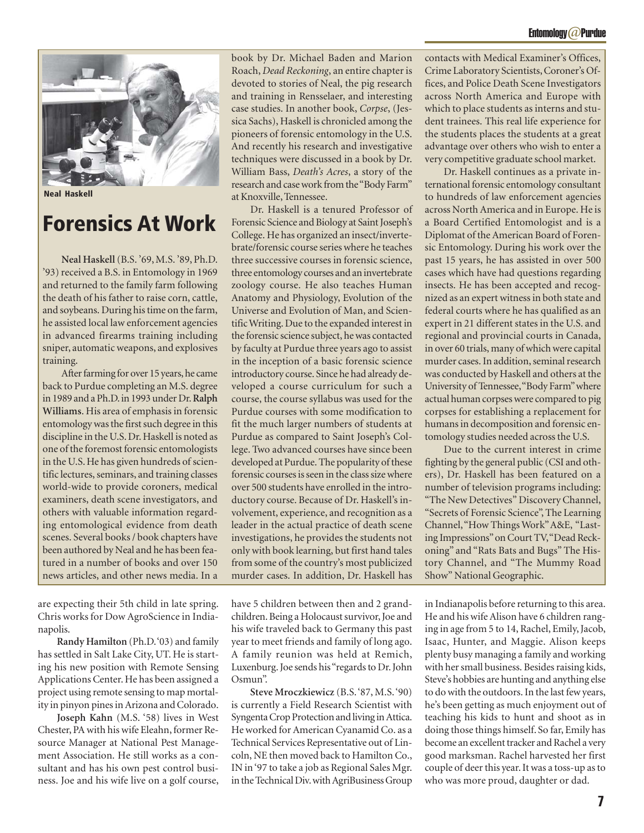

**Neal Haskell**

# **Forensics At Work**

**Neal Haskell** (B.S. '69, M.S. '89, Ph.D. '93) received a B.S. in Entomology in 1969 and returned to the family farm following the death of his father to raise corn, cattle, and soybeans. During his time on the farm, he assisted local law enforcement agencies in advanced firearms training including sniper, automatic weapons, and explosives training.

After farming for over 15 years, he came back to Purdue completing an M.S. degree in 1989 and a Ph.D. in 1993 under Dr. **Ralph Williams**. His area of emphasis in forensic entomology was the first such degree in this discipline in the U.S. Dr. Haskell is noted as one of the foremost forensic entomologists in the U.S. He has given hundreds of scientific lectures, seminars, and training classes world-wide to provide coroners, medical examiners, death scene investigators, and others with valuable information regarding entomological evidence from death scenes. Several books / book chapters have been authored by Neal and he has been featured in a number of books and over 150 news articles, and other news media. In a

are expecting their 5th child in late spring. Chris works for Dow AgroScience in Indianapolis.

**Randy Hamilton** (Ph.D. '03) and family has settled in Salt Lake City, UT. He is starting his new position with Remote Sensing Applications Center. He has been assigned a project using remote sensing to map mortality in pinyon pines in Arizona and Colorado.

**Joseph Kahn** (M.S. '58) lives in West Chester, PA with his wife Eleahn, former Resource Manager at National Pest Management Association. He still works as a consultant and has his own pest control business. Joe and his wife live on a golf course, book by Dr. Michael Baden and Marion Roach, *Dead Reckoning*, an entire chapter is devoted to stories of Neal, the pig research and training in Rensselaer, and interesting case studies. In another book, *Corpse*, (Jessica Sachs), Haskell is chronicled among the pioneers of forensic entomology in the U.S. And recently his research and investigative techniques were discussed in a book by Dr. William Bass, *Death's Acres*, a story of the research and case work from the "Body Farm" at Knoxville, Tennessee.

Dr. Haskell is a tenured Professor of Forensic Science and Biology at Saint Joseph's College. He has organized an insect/invertebrate/forensic course series where he teaches three successive courses in forensic science, three entomology courses and an invertebrate zoology course. He also teaches Human Anatomy and Physiology, Evolution of the Universe and Evolution of Man, and Scientific Writing. Due to the expanded interest in the forensic science subject, he was contacted by faculty at Purdue three years ago to assist in the inception of a basic forensic science introductory course. Since he had already developed a course curriculum for such a course, the course syllabus was used for the Purdue courses with some modification to fit the much larger numbers of students at Purdue as compared to Saint Joseph's College. Two advanced courses have since been developed at Purdue. The popularity of these forensic courses is seen in the class size where over 500 students have enrolled in the introductory course. Because of Dr. Haskell's involvement, experience, and recognition as a leader in the actual practice of death scene investigations, he provides the students not only with book learning, but first hand tales from some of the country's most publicized murder cases. In addition, Dr. Haskell has

have 5 children between then and 2 grandchildren. Being a Holocaust survivor, Joe and his wife traveled back to Germany this past year to meet friends and family of long ago. A family reunion was held at Remich, Luxenburg. Joe sends his "regards to Dr. John Osmun".

**Steve Mroczkiewicz** (B.S. '87, M.S. '90) is currently a Field Research Scientist with Syngenta Crop Protection and living in Attica. He worked for American Cyanamid Co. as a Technical Services Representative out of Lincoln, NE then moved back to Hamilton Co., IN in '97 to take a job as Regional Sales Mgr. in the Technical Div. with AgriBusiness Group contacts with Medical Examiner's Offices, Crime Laboratory Scientists, Coroner's Offices, and Police Death Scene Investigators across North America and Europe with which to place students as interns and student trainees. This real life experience for the students places the students at a great advantage over others who wish to enter a very competitive graduate school market.

Dr. Haskell continues as a private international forensic entomology consultant to hundreds of law enforcement agencies across North America and in Europe. He is a Board Certified Entomologist and is a Diplomat of the American Board of Forensic Entomology. During his work over the past 15 years, he has assisted in over 500 cases which have had questions regarding insects. He has been accepted and recognized as an expert witness in both state and federal courts where he has qualified as an expert in 21 different states in the U.S. and regional and provincial courts in Canada, in over 60 trials, many of which were capital murder cases. In addition, seminal research was conducted by Haskell and others at the University of Tennessee, "Body Farm" where actual human corpses were compared to pig corpses for establishing a replacement for humans in decomposition and forensic entomology studies needed across the U.S.

Due to the current interest in crime fighting by the general public (CSI and others), Dr. Haskell has been featured on a number of television programs including: "The New Detectives" Discovery Channel, "Secrets of Forensic Science", The Learning Channel, "How Things Work" A&E, "Lasting Impressions" on Court TV, "Dead Reckoning" and "Rats Bats and Bugs" The History Channel, and "The Mummy Road Show" National Geographic.

in Indianapolis before returning to this area. He and his wife Alison have 6 children ranging in age from 5 to 14, Rachel, Emily, Jacob, Isaac, Hunter, and Maggie. Alison keeps plenty busy managing a family and working with her small business. Besides raising kids, Steve's hobbies are hunting and anything else to do with the outdoors. In the last few years, he's been getting as much enjoyment out of teaching his kids to hunt and shoot as in doing those things himself. So far, Emily has become an excellent tracker and Rachel a very good marksman. Rachel harvested her first couple of deer this year. It was a toss-up as to who was more proud, daughter or dad.